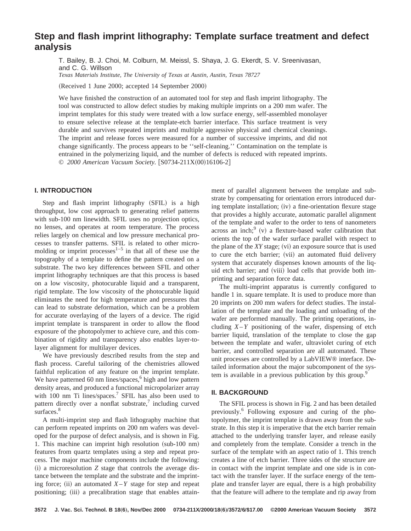# **Step and flash imprint lithography: Template surface treatment and defect analysis**

T. Bailey, B. J. Choi, M. Colburn, M. Meissl, S. Shaya, J. G. Ekerdt, S. V. Sreenivasan, and C. G. Willson

*Texas Materials Institute, The University of Texas at Austin, Austin, Texas 78727*

 $(Received 1 June 2000; accepted 14 September 2000)$ 

We have finished the construction of an automated tool for step and flash imprint lithography. The tool was constructed to allow defect studies by making multiple imprints on a 200 mm wafer. The imprint templates for this study were treated with a low surface energy, self-assembled monolayer to ensure selective release at the template-etch barrier interface. This surface treatment is very durable and survives repeated imprints and multiple aggressive physical and chemical cleanings. The imprint and release forces were measured for a number of successive imprints, and did not change significantly. The process appears to be ''self-cleaning.'' Contamination on the template is entrained in the polymerizing liquid, and the number of defects is reduced with repeated imprints. © 2000 American Vacuum Society. [S0734-211X(00)16106-2]

# **I. INTRODUCTION**

Step and flash imprint lithography (SFIL) is a high throughput, low cost approach to generating relief patterns with sub-100 nm linewidth. SFIL uses no projection optics, no lenses, and operates at room temperature. The process relies largely on chemical and low pressure mechanical processes to transfer patterns. SFIL is related to other micromolding or imprint processes $1-5$  in that all of these use the topography of a template to define the pattern created on a substrate. The two key differences between SFIL and other imprint lithography techniques are that this process is based on a low viscosity, photocurable liquid and a transparent, rigid template. The low viscosity of the photocurable liquid eliminates the need for high temperature and pressures that can lead to substrate deformation, which can be a problem for accurate overlaying of the layers of a device. The rigid imprint template is transparent in order to allow the flood exposure of the photopolymer to achieve cure, and this combination of rigidity and transparency also enables layer-tolayer alignment for multilayer devices.

We have previously described results from the step and flash process. Careful tailoring of the chemistries allowed faithful replication of any feature on the imprint template. We have patterned 60 nm lines/spaces, $6$  high and low pattern density areas, and produced a functional micropolarizer array with 100 nm Ti lines/spaces.<sup>7</sup> SFIL has also been used to pattern directly over a nonflat substrate, $\alpha$  including curved surfaces.<sup>8</sup>

A multi-imprint step and flash lithography machine that can perform repeated imprints on 200 nm wafers was developed for the purpose of defect analysis, and is shown in Fig. 1. This machine can imprint high resolution  $(sub-100 \text{ nm})$ features from quartz templates using a step and repeat process. The major machine components include the following:  $(i)$  a microresolution  $Z$  stage that controls the average distance between the template and the substrate and the imprinting force; (ii) an automated  $X - Y$  stage for step and repeat positioning; (iii) a precalibration stage that enables attainment of parallel alignment between the template and substrate by compensating for orientation errors introduced during template installation;  $(iv)$  a fine-orientation flexure stage that provides a highly accurate, automatic parallel alignment of the template and wafer to the order to tens of nanometers across an inch; $\frac{9}{9}$  (v) a flexture-based wafer calibration that orients the top of the wafer surface parallel with respect to the plane of the *XY* stage; (vi) an exposure source that is used to cure the etch barrier; (vii) an automated fluid delivery system that accurately dispenses known amounts of the liquid etch barrier; and (viii) load cells that provide both imprinting and separation force data.

The multi-imprint apparatus is currently configured to handle 1 in. square template. It is used to produce more than 20 imprints on 200 mm wafers for defect studies. The installation of the template and the loading and unloading of the wafer are performed manually. The printing operations, including  $X - Y$  positioning of the wafer, dispensing of etch barrier liquid, translation of the template to close the gap between the template and wafer, ultraviolet curing of etch barrier, and controlled separation are all automated. These unit processes are controlled by a LabVIEW® interface. Detailed information about the major subcomponent of the system is available in a previous publication by this group.<sup>9</sup>

#### **II. BACKGROUND**

The SFIL process is shown in Fig. 2 and has been detailed previously.6 Following exposure and curing of the photopolymer, the imprint template is drawn away from the substrate. In this step it is imperative that the etch barrier remain attached to the underlying transfer layer, and release easily and completely from the template. Consider a trench in the surface of the template with an aspect ratio of 1. This trench creates a line of etch barrier. Three sides of the structure are in contact with the imprint template and one side is in contact with the transfer layer. If the surface energy of the template and transfer layer are equal, there is a high probability that the feature will adhere to the template and rip away from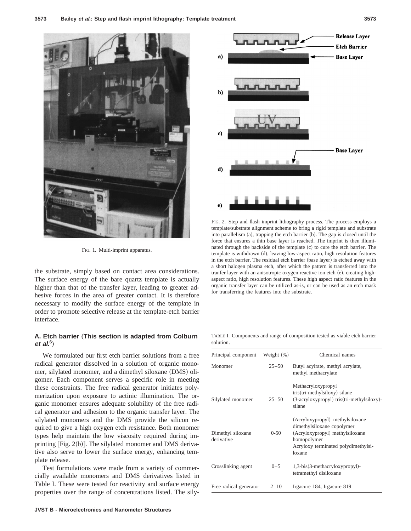

FIG. 1. Multi-imprint apparatus.

the substrate, simply based on contact area considerations. The surface energy of the bare quartz template is actually higher than that of the transfer layer, leading to greater adhesive forces in the area of greater contact. It is therefore necessary to modify the surface energy of the template in order to promote selective release at the template-etch barrier interface.

# A. Etch barrier (This section is adapted from Colburn **et al.<sup>6</sup>** …

We formulated our first etch barrier solutions from a free radical generator dissolved in a solution of organic monomer, silylated monomer, and a dimethyl siloxane (DMS) oligomer. Each component serves a specific role in meeting these constraints. The free radical generator initiates polymerization upon exposure to actinic illumination. The organic monomer ensures adequate solubility of the free radical generator and adhesion to the organic transfer layer. The silylated monomers and the DMS provide the silicon required to give a high oxygen etch resistance. Both monomer types help maintain the low viscosity required during imprinting  $[Fig. 2(b)]$ . The silylated monomer and DMS derivative also serve to lower the surface energy, enhancing template release.

Test formulations were made from a variety of commercially available monomers and DMS derivatives listed in Table I. These were tested for reactivity and surface energy properties over the range of concentrations listed. The sily-



FIG. 2. Step and flash imprint lithography process. The process employs a template/substrate alignment scheme to bring a rigid template and substrate into parallelism  $(a)$ , trapping the etch barrier  $(b)$ . The gap is closed until the force that ensures a thin base layer is reached. The imprint is then illuminated through the backside of the template (c) to cure the etch barrier. The template is withdrawn (d), leaving low-aspect ratio, high resolution features in the etch barrier. The residual etch barrier (base layer) is etched away with a short halogen plasma etch, after which the pattern is transferred into the tranfer layer with an anisotropic oxygen reactive ion etch (e), creating highaspect ratio, high resolution features. These high aspect ratio features in the organic transfer layer can be utilized as-is, or can be used as an etch mask for transferring the features into the substrate.

TABLE I. Components and range of composition tested as viable etch barrier solution.

| Principal component             | Weight $(\%)$ | Chemical names                                                                                                                                                   |
|---------------------------------|---------------|------------------------------------------------------------------------------------------------------------------------------------------------------------------|
| Monomer                         | $25 - 50$     | Butyl acylrate, methyl acrylate,<br>methyl methacrylate                                                                                                          |
| Silylated monomer               | $25 - 50$     | Methacryloxypropyl<br>tris(tri-methylsiloxy) silane<br>(3-acryloxypropyl) tris(tri-methylsiloxy)-<br>silane                                                      |
| Dimethyl siloxane<br>derivative | $0 - 50$      | (Acryloxypropyl) methylsiloxane<br>dimethylsiloxane copolymer<br>(Acryloxypropyl) methylsiloxane<br>homopolymer<br>Acryloxy terminated polydimethylsi-<br>loxane |
| Crosslinking agent              | $0 - 5$       | 1,3-bis(3-methacryloxypropyl)-<br>tetramethyl disiloxane                                                                                                         |
| Free radical generator          | $2 - 10$      | Irgacure 184, Irgacure 819                                                                                                                                       |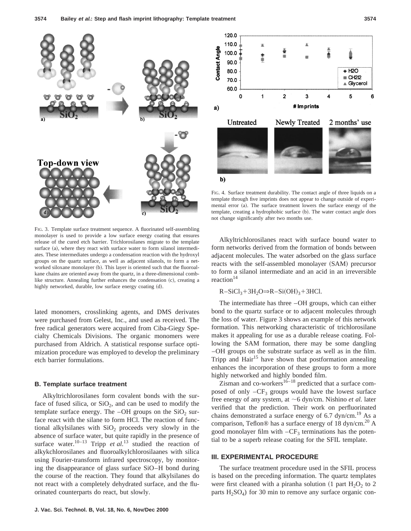

120.0 110.0 **Contact Angle** 100.0 90.0 80.0  $+ H2O$ CH<sub>212</sub> 70.0 ▲ Glycerol 60.0  $\overline{2}$  $\Omega$  $\overline{1}$ 3 5 6 # Imprints a) Untreated **Newly Treated** 2 months' use

FIG. 4. Surface treatment durability. The contact angle of three liquids on a template through five imprints does not appear to change outside of experimental error (a). The surface treatment lowers the surface energy of the template, creating a hydrophobic surface (b). The water contact angle does not change significantly after two months use.

FIG. 3. Template surface treatment sequence. A fluorinated self-assembling monolayer is used to provide a low surface energy coating that ensures release of the cured etch barrier. Trichlorosilanes migrate to the template surface (a), where they react with surface water to form silanol intermediates. These intermediates undergo a condensation reaction with the hydroxyl groups on the quartz surface, as well as adjacent silanols, to form a networked siloxane monolayer (b). This layer is oriented such that the fluoroalkane chains are oriented away from the quartz, in a three-dimensional comblike structure. Annealing further enhances the condensation  $(c)$ , creating a highly networked, durable, low surface energy coating (d).

lated monomers, crosslinking agents, and DMS derivates were purchased from Gelest, Inc., and used as received. The free radical generators were acquired from Ciba-Giegy Specialty Chemicals Divisions. The organic monomers were purchased from Aldrich. A statistical response surface optimization procedure was employed to develop the preliminary etch barrier formulations.

#### **B. Template surface treatment**

Alkyltrichlorosilanes form covalent bonds with the surface of fused silica, or  $SiO<sub>2</sub>$ , and can be used to modify the template surface energy. The  $-OH$  groups on the  $SiO<sub>2</sub>$  surface react with the silane to form HCl. The reaction of functional alkylsilanes with  $SiO<sub>2</sub>$  proceeds very slowly in the absence of surface water, but quite rapidly in the presence of surface water.<sup>10–13</sup> Tripp *et al.*<sup>13</sup> studied the reaction of alkykchlorosilanes and fluoroalkylchlorosilaanes with silica using Fourier-transform infrared spectroscopy, by monitoring the disappearance of glass surface SiO–H bond during the course of the reaction. They found that alkylsilanes do not react with a completely dehydrated surface, and the fluorinated counterparts do react, but slowly.

Alkyltrichlorosilanes react with surface bound water to form networks derived from the formation of bonds between adjacent molecules. The water adsorbed on the glass surface reacts with the self-assembled monolayer (SAM) precursor to form a silanol intermediate and an acid in an irreversible reaction<sup>14</sup>

 $R-SiCl_3+3H_2O\Rightarrow R-Si(OH)_3+3HCl.$ 

b)

The intermediate has three –OH groups, which can either bond to the quartz surface or to adjacent molecules through the loss of water. Figure 3 shows an example of this network formation. This networking characteristic of trichlorosilane makes it appealing for use as a durable release coating. Following the SAM formation, there may be some dangling –OH groups on the substrate surface as well as in the film. Tripp and  $\text{Hair}^{15}$  have shown that postformation annealing enhances the incorporation of these groups to form a more highly networked and highly bonded film.

 $\sum_{n=1}^{\infty}$   $\frac{1}{n}$  and  $\sum_{n=1}^{\infty}$  contacts that a surface composed of only  $-CF_3$  groups would have the lowest surface free energy of any system, at  $\sim$  6 dyn/cm. Nishino *et al.* later verified that the prediction. Their work on perfluorinated chains demonstrated a surface energy of 6.7 dyn/cm.<sup>19</sup> As a comparison, Teflon® has a surface energy of 18 dyn/cm.<sup>20</sup> A good monolayer film with  $-CF_3$  terminations has the potential to be a superb release coating for the SFIL template.

### **III. EXPERIMENTAL PROCEDURE**

The surface treatment procedure used in the SFIL process is based on the preceding information. The quartz templates were first cleaned with a piranha solution  $(1$  part  $H_2O_2$  to 2 parts  $H_2SO_4$ ) for 30 min to remove any surface organic con-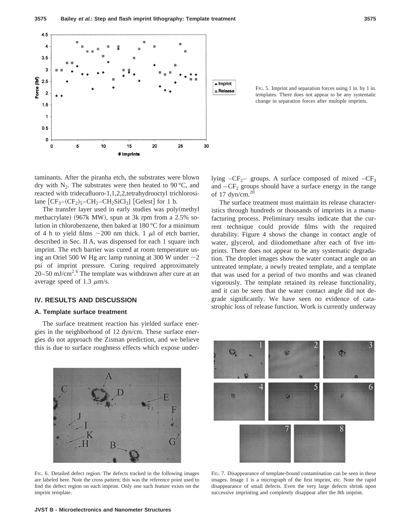

FIG. 5. Imprint and separation forces using 1 in. by 1 in. templates. There does not appear to be any systematic change in separation forces after multiple imprints.

taminants. After the piranha etch, the substrates were blown dry with  $N_2$ . The substrates were then heated to 90 °C, and reacted with tridecafluoro-1,1,2,2,tetrahydrooctyl trichlorosilane  $[CF<sub>3</sub>-(CF<sub>2</sub>)<sub>5</sub>-CH<sub>2</sub>-CH<sub>2</sub>SiCl<sub>3</sub>]$  [Gelest] for 1 h.

The transfer layer used in early studies was poly(methyl methacrylate) (967k MW), spun at 3k rpm from a  $2.5\%$  solution in chlorobenzene, then baked at 180 °C for a minimum of 4 h to yield films  $\sim$  200 nm thick. 1  $\mu$ l of etch barrier, described in Sec. II A, was dispensed for each 1 square inch imprint. The etch barrier was cured at room temperature using an Oriel 500 W Hg arc lamp running at 300 W under  $\sim$  2 psi of imprint pressure. Curing required approximately  $20-50$  mJ/cm<sup>2</sup>.<sup>6</sup> The template was withdrawn after cure at an average speed of 1.3  $\mu$ m/s.

## **IV. RESULTS AND DISCUSSION**

#### **A. Template surface treatment**

The surface treatment reaction has yielded surface energies in the neighborhood of 12 dyn/cm. These surface energies do not approach the Zisman prediction, and we believe this is due to surface roughness effects which expose under-



FIG. 6. Detailed defect region. The defects tracked in the following images are labeled here. Note the cross pattern; this was the reference point used to find the defect region on each imprint. Only one such feature exists on the imprint template.

lying  $-CF_{2}$ – groups. A surface composed of mixed  $-CF_3$ and  $-CF_2$  groups should have a surface energy in the range of 17 dyn/cm. $20$ 

The surface treatment must maintain its release characteristics through hundreds or thousands of imprints in a manufacturing process. Preliminary results indicate that the current technique could provide films with the required durability. Figure 4 shows the change in contact angle of water, glycerol, and diiodomethane after each of five imprints. There does not appear to be any systematic degradation. The droplet images show the water contact angle on an untreated template, a newly treated template, and a template that was used for a period of two months and was cleaned vigorously. The template retained its release functionality, and it can be seen that the water contact angle did not degrade significantly. We have seen no evidence of catastrophic loss of release function. Work is currently underway



FIG. 7. Disappearance of template-bound contamination can be seen in these images. Image 1 is a micrograph of the first imprint, etc. Note the rapid disappearance of small defects. Even the very large defects shrink upon successive imprinting and completely disappear after the 8th imprint.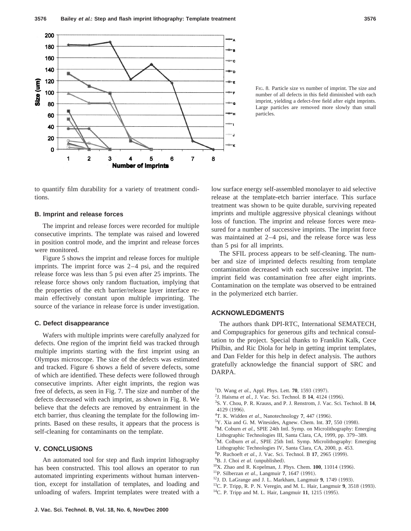

FIG. 8. Particle size vs number of imprint. The size and number of all defects in this field diminished with each imprint, yielding a defect-free field after eight imprints. Large particles are removed more slowly than small particles.

to quantify film durability for a variety of treatment conditions.

#### **B. Imprint and release forces**

The imprint and release forces were recorded for multiple consecutive imprints. The template was raised and lowered in position control mode, and the imprint and release forces were monitored.

Figure 5 shows the imprint and release forces for multiple imprints. The imprint force was 2–4 psi, and the required release force was less than 5 psi even after 25 imprints. The release force shows only random fluctuation, implying that the properties of the etch barrier/release layer interface remain effectively constant upon multiple imprinting. The source of the variance in release force is under investigation.

#### **C. Defect disappearance**

Wafers with multiple imprints were carefully analyzed for defects. One region of the imprint field was tracked through multiple imprints starting with the first imprint using an Olympus microscope. The size of the defects was estimated and tracked. Figure 6 shows a field of severe defects, some of which are identified. These defects were followed through consecutive imprints. After eight imprints, the region was free of defects, as seen in Fig. 7. The size and number of the defects decreased with each imprint, as shown in Fig. 8. We believe that the defects are removed by entrainment in the etch barrier, thus cleaning the template for the following imprints. Based on these results, it appears that the process is self-cleaning for contaminants on the template.

#### **V. CONCLUSIONS**

An automated tool for step and flash imprint lithography has been constructed. This tool allows an operator to run automated imprinting experiments without human intervention, except for installation of templates, and loading and unloading of wafers. Imprint templates were treated with a low surface energy self-assembled monolayer to aid selective release at the template-etch barrier interface. This surface treatment was shown to be quite durable, surviving repeated imprints and multiple aggressive physical cleanings without loss of function. The imprint and release forces were measured for a number of successive imprints. The imprint force was maintained at 2–4 psi, and the release force was less than 5 psi for all imprints.

The SFIL process appears to be self-cleaning. The number and size of imprinted defects resulting from template contamination decreased with each successive imprint. The imprint field was contamination free after eight imprints. Contamination on the template was observed to be entrained in the polymerized etch barrier.

## **ACKNOWLEDGMENTS**

The authors thank DPI-RTC, International SEMATECH, and Compugraphics for generous gifts and technical consultation to the project. Special thanks to Franklin Kalk, Cece Philbin, and Ric Diola for help in getting imprint templates, and Dan Felder for this help in defect analysis. The authors gratefully acknowledge the financial support of SRC and DARPA.

- <sup>1</sup>D. Wang *et al.*, Appl. Phys. Lett. **70**, 1593 (1997).
- <sup>2</sup>J. Haisma *et al.*, J. Vac. Sci. Technol. B 14, 4124 (1996).
- 3 S. Y. Chou, P. R. Krauss, and P. J. Renstrom, J. Vac. Sci. Technol. B **14**, 4129 (1996).
- <sup>4</sup>T. K. Widden et al., Nanotechnology 7, 447 (1996).
- ${}^5$ Y. Xia and G. M. Witesides, Agnew. Chem. Int. 37, 550 (1998).
- <sup>6</sup>M. Coburn *et al.*, SPIE 24th Intl. Symp. on Microlithography: Emerging Lithographic Technologies III, Santa Clara, CA, 1999, pp. 379–389.
- <sup>7</sup>M. Colburn *et al.*, SPIE 25th Intl. Symp. Microlithography: Emerging Lithographic Technologies IV, Santa Clara, CA, 2000, p. 453.
- <sup>8</sup>P. Ruchoeft *et al.*, J. Vac. Sci. Technol. B 17, 2965 (1999).
- <sup>9</sup>B. J. Choi et al. (unpublished).
- <sup>10</sup>X. Zhao and R. Kopelman, J. Phys. Chem. **100**, 11014 (1996).
- <sup>11</sup>P. Silberzan et al., Langmuir 7, 1647 (1991).
- <sup>12</sup>J. D. LaGrange and J. L. Markham, Langmuir 9, 1749 (1993).
- <sup>13</sup>C. P. Tripp, R. P. N. Veregin, and M. L. Hair, Langmuir 9, 3518 (1993).
- $^{14}$ C. P. Tripp and M. L. Hair, Langmuir 11, 1215 (1995).